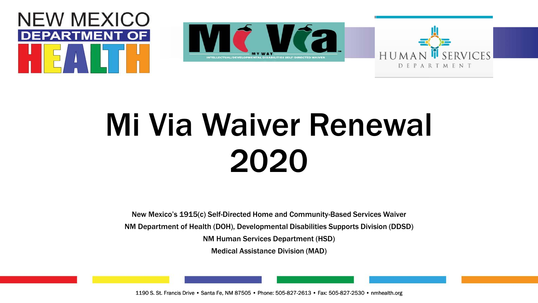





# Mi Via Waiver Renewal 2020

New Mexico's 1915(c) Self-Directed Home and Community-Based Services Waiver

NM Department of Health (DOH), Developmental Disabilities Supports Division (DDSD)

NM Human Services Department (HSD)

Medical Assistance Division (MAD)

1190 S. St. Francis Drive • Santa Fe, NM 87505 • Phone: 505-827-2613 • Fax: 505-827-2530 • nmhealth.org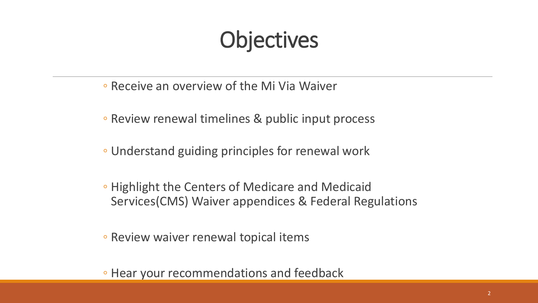## **Objectives**

- Receive an overview of the Mi Via Waiver
- Review renewal timelines & public input process
- Understand guiding principles for renewal work
- Highlight the Centers of Medicare and Medicaid Services(CMS) Waiver appendices & Federal Regulations
- Review waiver renewal topical items
- Hear your recommendations and feedback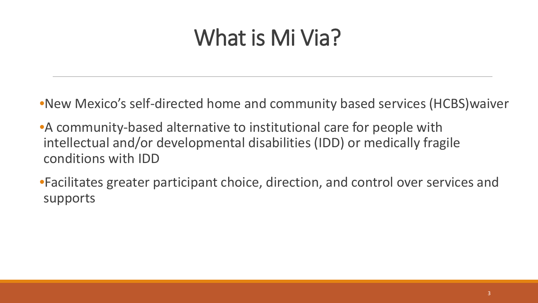## What is Mi Via?

•New Mexico's self-directed home and community based services (HCBS)waiver

- •A community-based alternative to institutional care for people with intellectual and/or developmental disabilities (IDD) or medically fragile conditions with IDD
- •Facilitates greater participant choice, direction, and control over services and supports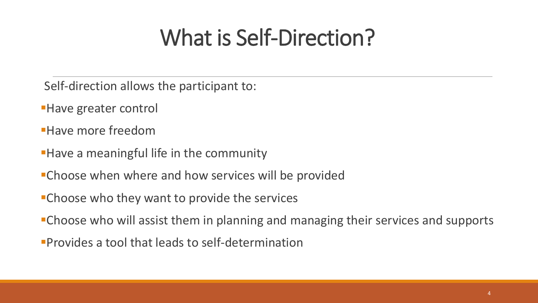## What is Self-Direction?

- Self-direction allows the participant to:
- **Have greater control**
- Have more freedom
- **Have a meaningful life in the community**
- Choose when where and how services will be provided
- Choose who they want to provide the services
- Choose who will assist them in planning and managing their services and supports
- Provides a tool that leads to self-determination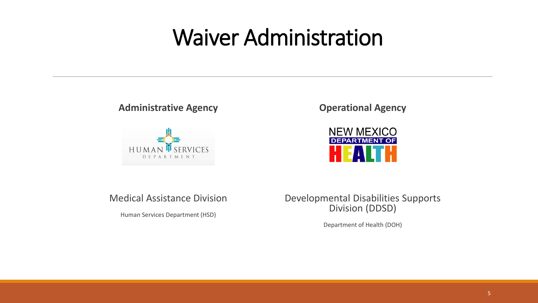### Waiver Administration

#### **Administrative Agency**



**Operational Agency** 



#### Medical Assistance Division

Human Services Department (HSD)

Developmental Disabilities Supports Division (DDSD)

Department of Health (DOH)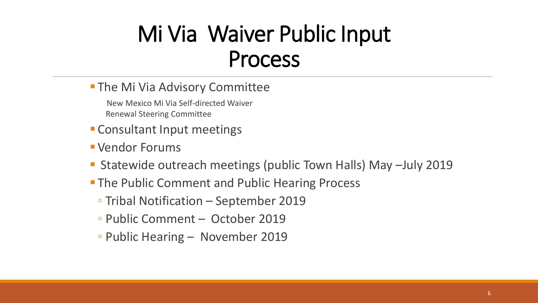## Mi Via Waiver Public Input Process

**The Mi Via Advisory Committee** 

New Mexico Mi Via Self-directed Waiver Renewal Steering Committee

- **Consultant Input meetings**
- Vendor Forums
- Statewide outreach meetings (public Town Halls) May –July 2019
- **The Public Comment and Public Hearing Process** 
	- Tribal Notification September 2019
	- Public Comment October 2019
	- Public Hearing November 2019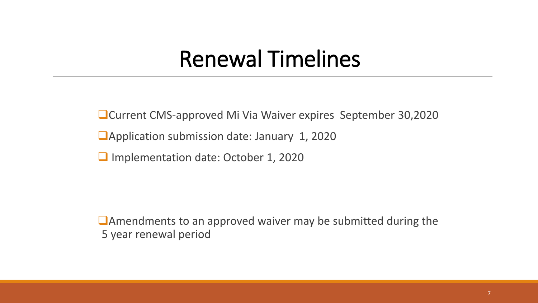### Renewal Timelines

Current CMS-approved Mi Via Waiver expires September 30,2020

**Application submission date: January 1, 2020** 

**Implementation date: October 1, 2020** 

Amendments to an approved waiver may be submitted during the 5 year renewal period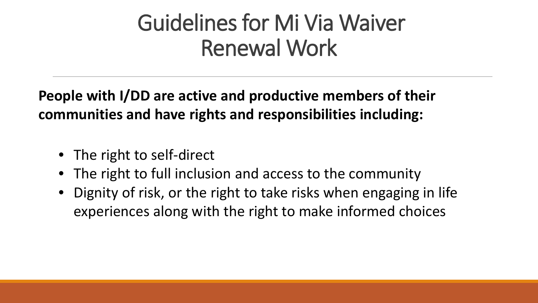## Guidelines for Mi Via Waiver Renewal Work

**People with I/DD are active and productive members of their communities and have rights and responsibilities including:**

- The right to self-direct
- The right to full inclusion and access to the community
- Dignity of risk, or the right to take risks when engaging in life experiences along with the right to make informed choices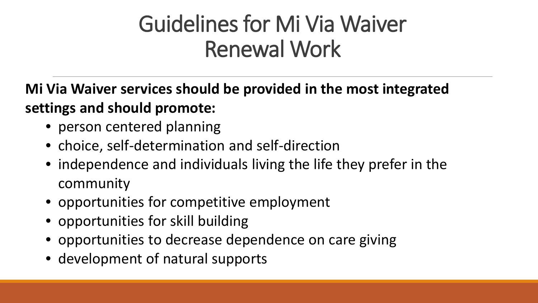## Guidelines for Mi Via Waiver Renewal Work

**Mi Via Waiver services should be provided in the most integrated settings and should promote:**

- person centered planning
- choice, self-determination and self-direction
- independence and individuals living the life they prefer in the community
- opportunities for competitive employment
- opportunities for skill building
- opportunities to decrease dependence on care giving
- development of natural supports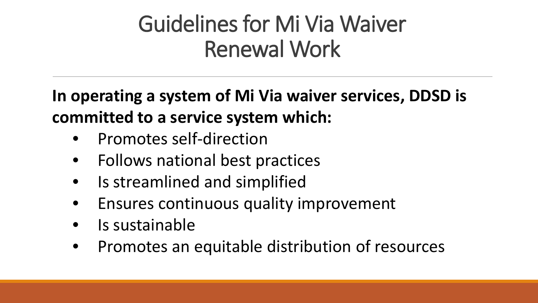## Guidelines for Mi Via Waiver Renewal Work

**In operating a system of Mi Via waiver services, DDSD is committed to a service system which:** 

- Promotes self-direction
- Follows national best practices
- Is streamlined and simplified
- Ensures continuous quality improvement
- Is sustainable
- Promotes an equitable distribution of resources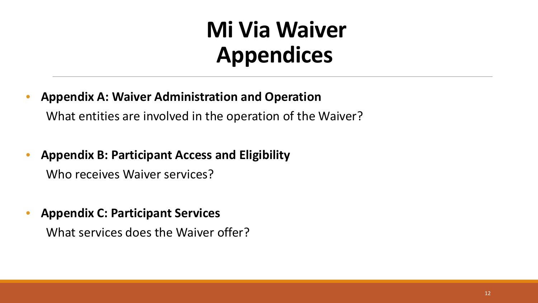- **Appendix A: Waiver Administration and Operation**  What entities are involved in the operation of the Waiver?
- **Appendix B: Participant Access and Eligibility** Who receives Waiver services?
- **Appendix C: Participant Services**

What services does the Waiver offer?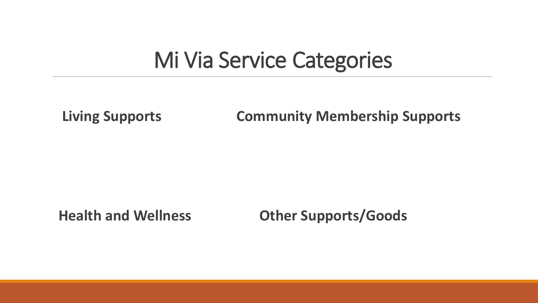### Mi Via Service Categories

**Living Supports Community Membership Supports**

**Health and Wellness Other Supports/Goods**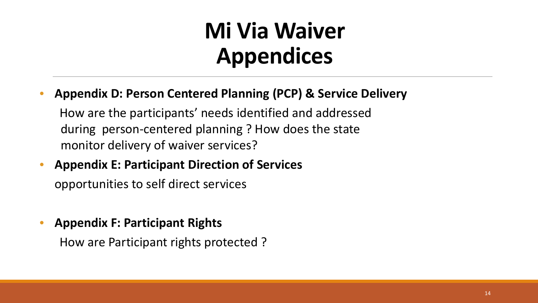• **Appendix D: Person Centered Planning (PCP) & Service Delivery**

How are the participants' needs identified and addressed during person-centered planning ? How does the state monitor delivery of waiver services?

- **Appendix E: Participant Direction of Services** opportunities to self direct services
- **Appendix F: Participant Rights** How are Participant rights protected ?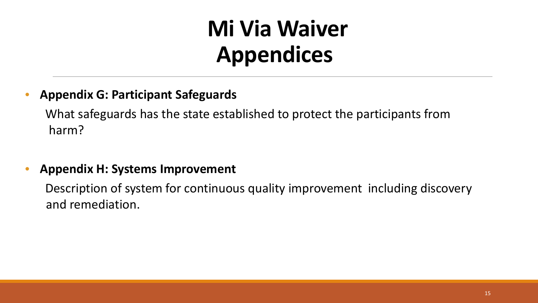#### • **Appendix G: Participant Safeguards**

What safeguards has the state established to protect the participants from harm?

#### • **Appendix H: Systems Improvement**

Description of system for continuous quality improvement including discovery and remediation.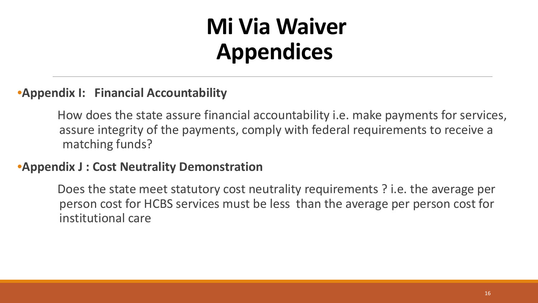#### •**Appendix I: Financial Accountability**

How does the state assure financial accountability i.e. make payments for services, assure integrity of the payments, comply with federal requirements to receive a matching funds?

#### •**Appendix J : Cost Neutrality Demonstration**

Does the state meet statutory cost neutrality requirements ? i.e. the average per person cost for HCBS services must be less than the average per person cost for institutional care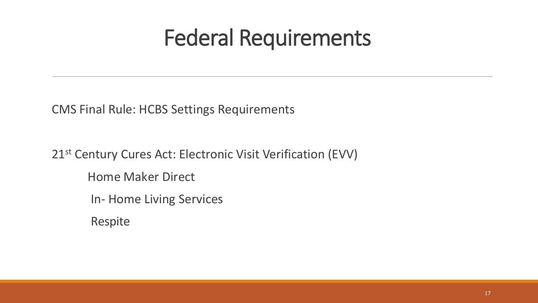## Federal Requirements

CMS Final Rule: HCBS Settings Requirements

21<sup>st</sup> Century Cures Act: Electronic Visit Verification (EVV) Home Maker Direct In- Home Living Services

Respite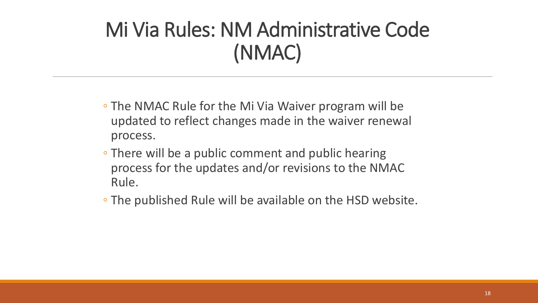### Mi Via Rules: NM Administrative Code (NMAC)

- The NMAC Rule for the Mi Via Waiver program will be updated to reflect changes made in the waiver renewal process.
- There will be a public comment and public hearing process for the updates and/or revisions to the NMAC Rule.
- The published Rule will be available on the HSD website.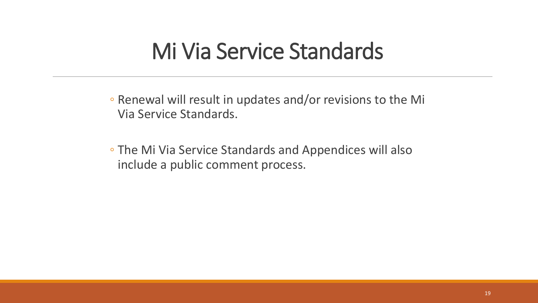### Mi Via Service Standards

◦ Renewal will result in updates and/or revisions to the Mi Via Service Standards.

◦ The Mi Via Service Standards and Appendices will also include a public comment process.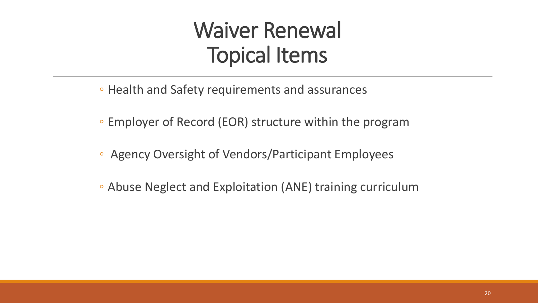### Waiver Renewal Topical Items

- Health and Safety requirements and assurances
- Employer of Record (EOR) structure within the program
- Agency Oversight of Vendors/Participant Employees
- Abuse Neglect and Exploitation (ANE) training curriculum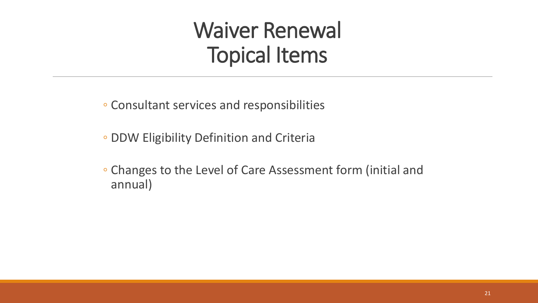### Waiver Renewal Topical Items

◦ Consultant services and responsibilities

- DDW Eligibility Definition and Criteria
- Changes to the Level of Care Assessment form (initial and annual)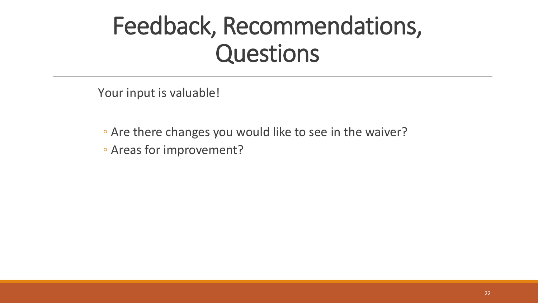## Feedback, Recommendations, Questions

Your input is valuable!

- Are there changes you would like to see in the waiver?
- Areas for improvement?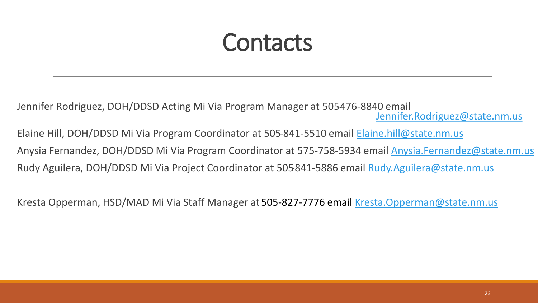## **Contacts**

Jennifer Rodriguez, DOH/DDSD Acting Mi Via Program Manager at 505-476-8840 email [Jennifer.Rodriguez@state.nm.us](mailto:Jennifer.Rodriguez@state.nm.us)

Elaine Hill, DOH/DDSD Mi Via Program Coordinator at 505-841-5510 email [Elaine.hill@state.nm.us](mailto:Elaine.hill@state.nm.us) Anysia Fernandez, DOH/DDSD Mi Via Program Coordinator at 575-758-5934 email [Anysia.Fernandez@state.nm.us](mailto:Anysia.Fernandez@state.nm.us) Rudy Aguilera, DOH/DDSD Mi Via Project Coordinator at 505-841-5886 email [Rudy.Aguilera@state.nm.us](mailto:Rudy.Aguilera@state.nm.us)

Kresta Opperman, HSD/MAD Mi Via Staff Manager at 505-827-7776 email [Kresta.Opperman@state.nm.us](mailto:Kresta.Opperman@state.nm.us)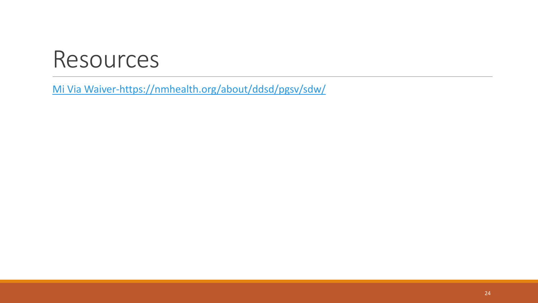### Resources

[Mi Via Waiver-https://nmhealth.org/about/ddsd/pgsv/sdw/](https://nmhealth.org/about/ddsd/pgsv/sdw/)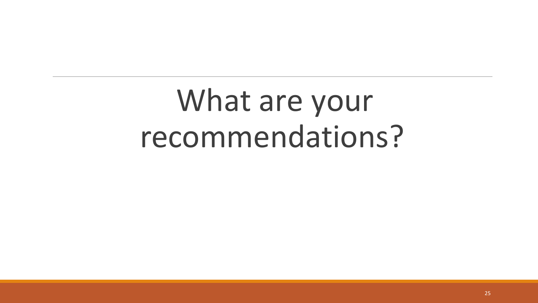# What are your recommendations?